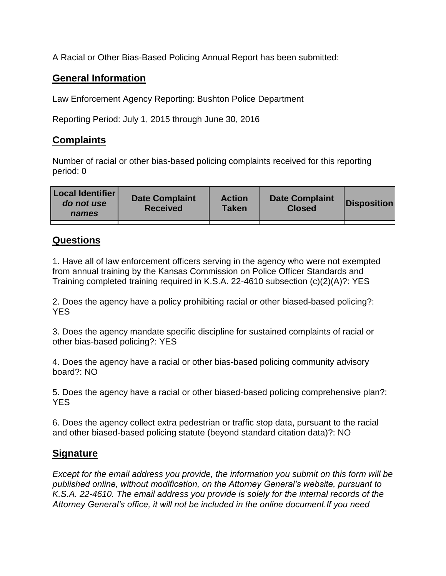A Racial or Other Bias-Based Policing Annual Report has been submitted:

## **General Information**

Law Enforcement Agency Reporting: Bushton Police Department

Reporting Period: July 1, 2015 through June 30, 2016

## **Complaints**

Number of racial or other bias-based policing complaints received for this reporting period: 0

| <b>Local Identifier</b><br>do not use<br>names | <b>Date Complaint</b><br><b>Received</b> | <b>Action</b><br><b>Taken</b> | <b>Date Complaint</b><br><b>Closed</b> | Disposition |
|------------------------------------------------|------------------------------------------|-------------------------------|----------------------------------------|-------------|
|                                                |                                          |                               |                                        |             |

## **Questions**

1. Have all of law enforcement officers serving in the agency who were not exempted from annual training by the Kansas Commission on Police Officer Standards and Training completed training required in K.S.A. 22-4610 subsection (c)(2)(A)?: YES

2. Does the agency have a policy prohibiting racial or other biased-based policing?: YES

3. Does the agency mandate specific discipline for sustained complaints of racial or other bias-based policing?: YES

4. Does the agency have a racial or other bias-based policing community advisory board?: NO

5. Does the agency have a racial or other biased-based policing comprehensive plan?: YES

6. Does the agency collect extra pedestrian or traffic stop data, pursuant to the racial and other biased-based policing statute (beyond standard citation data)?: NO

## **Signature**

*Except for the email address you provide, the information you submit on this form will be published online, without modification, on the Attorney General's website, pursuant to K.S.A. 22-4610. The email address you provide is solely for the internal records of the Attorney General's office, it will not be included in the online document.If you need*